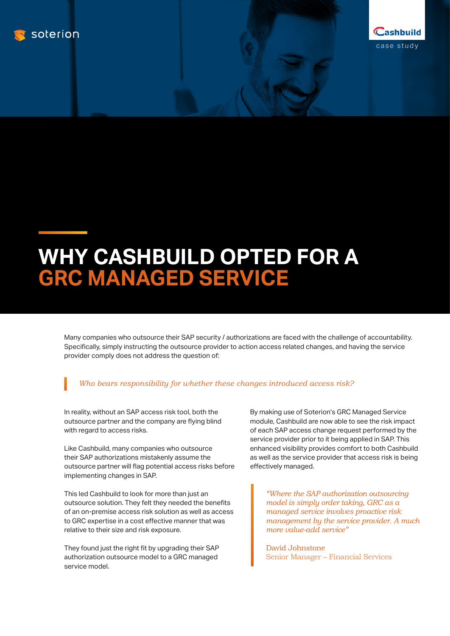



## **WHY CASHBUILD OPTED FOR A**

Many companies who outsource their SAP security / authorizations are faced with the challenge of accountability. Specifically, simply instructing the outsource provider to action access related changes, and having the service provider comply does not address the question of:

## *Who bears responsibility for whether these changes introduced access risk?*

In reality, without an SAP access risk tool, both the outsource partner and the company are flying blind with regard to access risks.

Like Cashbuild, many companies who outsource their SAP authorizations mistakenly assume the outsource partner will flag potential access risks before implementing changes in SAP.

This led Cashbuild to look for more than just an outsource solution. They felt they needed the benefits of an on-premise access risk solution as well as access to GRC expertise in a cost effective manner that was relative to their size and risk exposure.

They found just the right fit by upgrading their SAP authorization outsource model to a GRC managed service model.

By making use of Soterion's GRC Managed Service module, Cashbuild are now able to see the risk impact of each SAP access change request performed by the service provider prior to it being applied in SAP. This enhanced visibility provides comfort to both Cashbuild as well as the service provider that access risk is being effectively managed.

*"Where the SAP authorization outsourcing model is simply order taking, GRC as a managed service involves proactive risk management by the service provider. A much more value-add service"*

David Johnstone Senior Manager – Financial Services